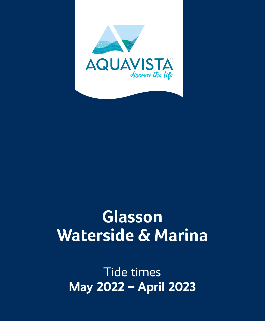

# **Glasson Waterside & Marina**

Tide times **May 2022 – April 2023**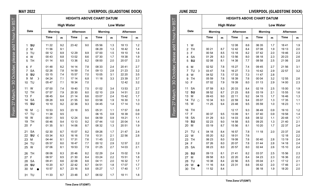|                            | <b>JUNE 2022</b>          |         |                   |           |     |                                  |                  | LIVERPOOL (GLADSTONE DOCK) |     |
|----------------------------|---------------------------|---------|-------------------|-----------|-----|----------------------------------|------------------|----------------------------|-----|
|                            |                           |         |                   |           |     | <b>HEIGHTS ABOVE CHART DATUM</b> |                  |                            |     |
| <b>GST</b>                 |                           |         | <b>High Water</b> |           |     |                                  | <b>Low Water</b> |                            |     |
| $\overline{5}$             | Date                      | Mornina |                   | Afternoon |     | Mornina                          |                  | Afternoon                  |     |
| October, please add 1 hour |                           | Time    | m                 | Time      | m   | Time                             | $\mathsf{m}$     | Time                       | m   |
|                            | w<br>1                    |         |                   | 12 08     | 8.6 | 06 35                            | 1.7              | 1841                       | 1.9 |
|                            | <b>TH</b><br>2            | 00 21   | 8.7               | 12 42     | 8.4 | 07 08                            | 1.9              | 19 13                      | 2.0 |
|                            | 3<br>F                    | 00 54   | 8.5               | 13 18     | 8.2 | 07 42                            | 2.0              | 1946                       | 2.3 |
|                            | 4<br><b>SA</b>            | 01 29   | 8.3               | 13 56     | 8.0 | 08 18                            | 2.3              | 20 23                      | 2.6 |
|                            | SU<br>5                   | 02 08   | 8.1               | 14 38     | 7.7 | 08 58                            | 2.5              | 21 06                      | 2.8 |
|                            | M<br>6                    | 02 52   | 7.8               | 15 27     | 7.4 | 09 45                            | 2.7              | 21 56                      | 3.1 |
|                            | $\overline{7}$<br>TU<br>r | 03 47   | 7.6               | 16 27     | 7.3 | 10 42                            | 2.9              | 22 57                      | 3.2 |
|                            | W<br>8                    | 04 52   | 7.5               | 17 33     | 7.3 | 11 47                            | 2.8              |                            |     |
|                            | <b>TH</b><br>9            | 05 59   | 7.6               | 18 39     | 7.6 | 00 04                            | 3.2              | 12 55                      | 2.6 |
| 30                         | F<br>10                   | 07 02   | 7.9               | 19 39     | 8.0 | 01 13                            | 2.9              | 14 00                      | 2.3 |
|                            | 11<br>SA                  | 07 59   | 8.3               | 20 33     | 8.4 | 02 19                            | 2.5              | 15 00                      | 1.9 |
| March                      | SU<br>12                  | 08 52   | 8.7               | 21 23     | 8.8 | 03 19                            | 2.1              | 15 55                      | 1.6 |
|                            | 13<br>M                   | 09 43   | 9.0               | 22 11     | 9.2 | 04 15                            | 1.7              | 1646                       | 1.3 |
|                            | TU <sub>0</sub><br>14     | 10 34   | 9.3               | 22 59     | 9.4 | 05 07                            | 1.3              | 17 35                      | 1.1 |
| $\overline{27}$            | 15<br>W                   | 11 25   | 9.4               | 23 48     | 9.5 | 05 59                            | 1.0              | 18 23                      | 1.1 |
| From                       | <b>TH</b><br>16           |         |                   | 12 17     | 9.3 | 06 49                            | 0.9              | 19 10                      | 1.2 |
|                            | F<br>17                   | 00 37   | 9.5               | 13 09     | 9.1 | 07 40                            | 0.9              | 1958                       | 1.4 |
|                            | 18<br><b>SA</b>           | 01 29   | 9.3               | 14 03     | 8.8 | 08 32                            | 1.1              | 2048                       | 1.7 |
|                            | <b>SU</b><br>19           | 02 23   | 9.0               | 14 58     | 8.5 | 09 25                            | 1.3              | 21 40                      | 2.1 |
|                            | M<br>20                   | 03 19   | 8.7               | 15 56     | 8.1 | 10 20                            | 1.7              | 22 37                      | 2.4 |
|                            | 21<br>TU<br>€             | 04 18   | 8.4               | 16 57     | 7.8 | 11 18                            | 2.0              | 23 37                      | 2.6 |
|                            | 22<br>W                   | 05 20   | 8.2               | 18 01     | 7.6 |                                  |                  | 12 18                      | 2.2 |
|                            | 23<br><b>TH</b>           | 06 23   | 8.0               | 19 08     | 7.6 | 00 40                            | 2.8              | 13 19                      | 2.4 |
|                            | F<br>24                   | 07 26   | 8.0               | 20 07     | 7.8 | 01 44                            | 2.8              | 14 18                      | 2.4 |
|                            | <b>SA</b><br>25           | 08 23   | 8.0               | 20 57     | 8.0 | 02 44                            | 2.6              | 15 10                      | 2.4 |
|                            | <b>SU</b><br>26           | 09 13   | 8.1               | 21 41     | 8.2 | 03 37                            | 2.5              | 15 56                      | 2.3 |
|                            | 27<br>M                   | 09 58   | 8.3               | 22 20     | 8.4 | 04 23                            | 2.3              | 16 36                      | 2.2 |
|                            | 28<br>TU                  | 10 38   | 8.4               | 22 56     | 8.5 | 05 04                            | 2.1              | 17 12                      | 2.1 |
|                            | W<br>29                   | 11 16   | 8.4               | 23 31     | 8.6 | 05 42                            | 2.0              | 1746                       | 2.1 |
|                            | <b>TH</b><br>30           | 11 52   | 8.4               |           |     | 06 18                            | 1.9              | 18 20                      | 2.0 |
|                            |                           |         |                   |           |     |                                  |                  |                            |     |

**Time Zone UT(GMT)**

**MAY 2022 LIVERPOOL (GLADSTONE DOCK)**

|                              |           | <b>HEIGHTS ABOVE CHART DATUM</b> |                   |           |     |                  |     |           |     |  |
|------------------------------|-----------|----------------------------------|-------------------|-----------|-----|------------------|-----|-----------|-----|--|
|                              |           |                                  | <b>High Water</b> |           |     | <b>Low Water</b> |     |           |     |  |
| Date                         |           | Mornina                          |                   | Afternoon |     | Morning          |     | Afternoon |     |  |
|                              |           | Time                             | m                 | Time      | m   | Time             | m   | Time      | m   |  |
| SU<br>1                      |           | 11 22                            | 9.2               | 2342      | 9.0 | 05 56            | 1.3 | 18 13     | 1.2 |  |
| $\overline{\mathbf{c}}$<br>M |           | 11 56                            | 9.1               |           |     | 06 29            | 1.3 | 18 42     | 1.4 |  |
| 3<br>TU                      |           | 00 12                            | 8.9               | 12 29     | 8.9 | 07 00            | 1.5 | 19 10     | 1.6 |  |
| $\overline{\mathbf{4}}$<br>W |           | 00 43                            | 8.8               | 13 02     | 8.6 | 07 30            | 1.7 | 19 38     | 1.9 |  |
| 5<br>TH                      |           | 01 14                            | 8.5               | 13 36     | 8.2 | 08 00            | 2.0 | 20 07     | 2.3 |  |
| F<br>6                       |           | 01 48                            | 8.2               | 14 14     | 7.8 | 08 33            | 2.4 | 2041      | 2.7 |  |
| $\overline{7}$<br><b>SA</b>  |           | 02 26                            | 7.8               | 14 59     | 7.4 | 09 13            | 2.8 | 21 23     | 3.2 |  |
| SU<br>8                      |           | 03 15                            | 7.4               | 15 57     | 7.0 | 10 05            | 3.1 | 22 20     | 3.5 |  |
| 9<br>M                       | Þ         | 04 24                            | 7.1               | 17 14     | 6.8 | 11 18            | 3.3 | 23 39     | 3.7 |  |
| TU<br>10                     |           | 05 47                            | 7.1               | 18 34     | 7.0 |                  |     | 1242      | 3.2 |  |
| W<br>11                      |           | 07 00                            | 7.4               | 1940      | 7.5 | 01 02            | 3.4 | 13 53     | 2.7 |  |
| <b>TH</b><br>12              |           | 07 57                            | 7.9               | 20 30     | 8.0 | 02 10            | 2.9 | 14 51     | 2.2 |  |
| 13<br>F                      |           | 08 45                            | 8.4               | 21 14     | 8.6 | 03 07            | 2.4 | 1542      | 1.7 |  |
| <b>SA</b><br>14              |           | 09 28                            | 8.9               | 21 55     | 9.0 | 03 58            | 1.9 | 16 30     | 1.3 |  |
| SU<br>15                     |           | 10 10                            | 9.2               | 22 36     | 9.3 | 04 45            | 1.4 | 17 14     | 1.0 |  |
| 16<br>M                      | $\bigcap$ | 10 53                            | 9.5               | 23 18     | 9.5 | 05 31            | 1.1 | 17 57     | 0.8 |  |
| 17<br>TU                     |           | 11 38                            | 9.5               |           |     | 06 15            | 0.9 | 18 39     | 0.9 |  |
| 18<br>W                      |           | 00 01                            | 9.5               | 12 24     | 9.4 | 06 59            | 0.9 | 19 21     | 1.1 |  |
| <b>TH</b><br>19              |           | 00 46                            | 9.4               | 13 13     | 9.2 | 0744             | 1.0 | 20 04     | 1.4 |  |
| F<br>20                      |           | 01 35                            | 9.1               | 14 06     | 8.7 | 08 32            | 1.3 | 20 51     | 1.9 |  |
| <b>SA</b><br>21              |           | 02 30                            | 8.7               | 15 07     | 8.2 | 09 26            | 1.7 | 21 47     | 2.4 |  |
| 22<br>SU                     | €         | 03 34                            | 8.3               | 16 16     | 7.8 | 10 31            | 2.1 | 22 56     | 2.8 |  |
| 23<br>M                      |           | 04 44                            | 8.1               | 1731      | 7.6 | 1145             | 2.2 |           |     |  |
| TU<br>24                     |           | 05 57                            | 8.0               | 1847      | 7.7 | 00 12            | 2.9 | 12 57     | 2.2 |  |
| W<br>25                      |           | 07 06                            | 8.1               | 1953      | 7.9 | 01 25            | 2.7 | 14 03     | 2.1 |  |
| <b>TH</b><br>26              |           | 08 06                            | 8.3               | 2046      | 8.2 | 02 29            | 2.4 | 15 02     | 1.9 |  |
| 27<br>F                      |           | 08 57                            | 8.5               | 21 30     | 8.4 | 03 24            | 2.2 | 15 51     | 1.8 |  |
| 28<br><b>SA</b>              |           | 09 41                            | 8.6               | 22 08     | 8.6 | 04 11            | 2.0 | 16 32     | 1.7 |  |
| SU<br>29                     |           | 10 20                            | 8.7               | 2242      | 8.7 | 04 51            | 1.8 | 17 07     | 1.7 |  |
| 30<br>M                      |           | 1057                             | 8.7               | 23 16     | 8.8 | 05 27            | 1.7 | 1740      | 1.7 |  |
| 31<br>TU                     |           | 11 33                            | 8.7               | 2348      | 8.7 | 06 02            | 1.7 | 18 11     | 1.8 |  |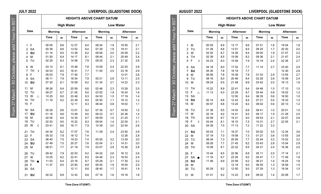|                            | <b>AUGUST 2022</b>   |         |     |                                  |     |         |     | LIVERPOOL (GLADSTONE DOCK) |     |
|----------------------------|----------------------|---------|-----|----------------------------------|-----|---------|-----|----------------------------|-----|
|                            |                      |         |     | <b>HEIGHTS ABOVE CHART DATUM</b> |     |         |     |                            |     |
| <b>GST</b>                 |                      |         |     | <b>High Water</b>                |     |         |     | <b>Low Water</b>           |     |
| $\overline{5}$             | Date                 | Mornina |     | Afternoon                        |     | Mornina |     | Afternoon                  |     |
| October, please add 1 hour |                      | Time    | m   | Time                             | m   | Time    | m   | Time                       | m   |
|                            | M<br>1               | 00 55   | 8.9 | 13 17                            | 8.6 | 07 51   | 1.6 | 1954                       | 1.8 |
|                            | TU<br>$\overline{2}$ | 01 28   | 8.8 | 1351                             | 8.5 | 08 25   | 1.7 | 20 30                      | 2.0 |
|                            | W<br>3               | 02 02   | 8.7 | 14 28                            | 8.4 | 09 00   | 1.9 | 21 07                      | 2.2 |
|                            | 4<br>TH              | 02 39   | 8.5 | 15 09                            | 8.2 | 09 36   | 2.1 | 21 47                      | 2.4 |
|                            | F<br>5<br>r          | 03 23   | 8.3 | 15 59                            | 7.9 | 10 19   | 2.4 | 22 36                      | 2.7 |
|                            | <b>SA</b><br>6       | 04 18   | 8.0 | 17 02                            | 7.7 | 11 14   | 2.7 | 23 40                      | 2.9 |
|                            | $\overline{7}$<br>SU | 05 30   | 7.8 | 18 19                            | 7.7 |         |     | 12 30                      | 2.8 |
|                            | 8<br>М               | 06 56   | 7.8 | 19 39                            | 7.9 | 01 03   | 2.9 | 1355                       | 2.7 |
|                            | 9<br>TU              | 08 16   | 8.0 | 20 48                            | 8.4 | 02 28   | 2.6 | 15 09                      | 2.4 |
| 80                         | W<br>10              | 09 24   | 8.5 | 21 48                            | 8.9 | 03 42   | 2.0 | 16 13                      | 1.9 |
|                            | 11<br>TH             | 10 22   | 8.9 | 22 41                            | 9.4 | 04 46   | 1.5 | 17 10                      | 1.5 |
|                            | 12<br>F<br>$\circ$   | 11 13   | 9.3 | 23 29                            | 9.7 | 05 44   | 0.9 | 1802                       | 1.2 |
| March                      | 13<br><b>SA</b>      |         |     | 12 00                            | 9.4 | 06 35   | 0.6 | 18 50                      | 1.0 |
|                            | SU<br>14             | 00 14   | 9.8 | 12 43                            | 9.4 | 07 21   | 0.5 | 19 33                      | 1.0 |
| 27                         | 15<br>M              | 00 57   | 9.8 | 13 24                            | 9.2 | 08 02   | 0.6 | 20 13                      | 1.2 |
| From                       | 16<br>TU             | 01 38   | 9.5 | 14 03                            | 8.9 | 08 41   | 1.0 | 20 51                      | 1.5 |
|                            | 17<br>W              | 02 18   | 9.2 | 14 41                            | 8.5 | 09 17   | 1.5 | 21 28                      | 2.0 |
|                            | <b>TH</b><br>18      | 02 59   | 8.7 | 15 21                            | 8.0 | 09 53   | 2.1 | 22 07                      | 2.6 |
|                            | 19<br>F<br>¢         | 03 44   | 8.1 | 16 10                            | 7.5 | 10 31   | 2.7 | 22 55                      | 3.1 |
|                            | <b>SA</b><br>20      | 04 39   | 7.5 | 17 13                            | 7.2 | 11 22   | 3.3 |                            |     |
|                            | SU<br>21             | 05 53   | 7.1 | 18 37                            | 7.0 | 00 02   | 3.5 | 12 34                      | 3.6 |
|                            | 22<br>M              | 07 19   | 7.0 | 19 58                            | 7.3 | 01 27   | 3.6 | 1355                       | 3.6 |
|                            | 23<br>TU             | 08 34   | 7.3 | 20 59                            | 7.7 | 02 44   | 3.3 | 15 02                      | 3.2 |
|                            | W<br>24              | 09 28   | 7.7 | 21 45                            | 8.2 | 03 43   | 2.8 | 15 54                      | 2.9 |
|                            | <b>TH</b><br>25      | 10 09   | 8.1 | 22 22                            | 8.5 | 04 31   | 2.4 | 16 36                      | 2.5 |
|                            | F<br>26              | 10 44   | 8.5 | 22 56                            | 8.8 | 05 11   | 2.0 | 17 14                      | 2.1 |
|                            | <b>SA</b><br>27      | 11 16   | 8.7 | 23 28                            | 9.0 | 05 47   | 1.7 | 1749                       | 1.8 |
|                            | SU<br>28             | 11 48   | 8.9 | 23 59                            | 9.2 | 06 21   | 1.4 | 18 24                      | 1.6 |
|                            | M<br>29              |         |     | 12 19                            | 9.0 | 06 55   | 1.3 | 1859                       | 1.5 |
|                            | 30<br>TU             | 00 29   | 9.2 | 12 50                            | 9.0 | 07 29   | 1.3 | 19 34                      | 1.5 |
|                            | W<br>31              | 01 01   | 9.2 | 13 23                            | 8.9 | 08 02   | 1.4 | 20 08                      | 1.7 |

# **JULY 2022 LIVERPOOL (GLADSTONE DOCK)**

|                              |           |         |     | <b>High Water</b> | <b>Low Water</b> |         |     |           |     |
|------------------------------|-----------|---------|-----|-------------------|------------------|---------|-----|-----------|-----|
| Date                         |           | Mornina |     | Afternoon         |                  | Mornina |     | Afternoon |     |
|                              |           | Time    | m   | Time              | m                | Time    | m   | Time      | m   |
| F<br>1                       |           | 00 05   | 8.6 | 12 27             | 8.4              | 06 54   | 1.9 | 18 55     | 2.1 |
| $\overline{a}$<br><b>SA</b>  |           | 00 39   | 8.6 | 13.02             | 8.4              | 07 29   | 1.9 | 19 31     | 2.1 |
| SU<br>3                      |           | 01 14   | 8.5 | 13 38             | 8.2              | 08 06   | 2.0 | 20 09     | 2.2 |
| $\overline{\mathbf{4}}$<br>M |           | 01 50   | 8.4 | 14 17             | 8.1              | 08 44   | 2.1 | 20 49     | 2.4 |
| TU<br>5                      |           | 02 29   | 8.3 | 14 58             | 7.9              | 09 25   | 2.3 | 21 32     | 2.6 |
| W<br>6                       |           | 03 13   | 8.1 | 1546              | 7.8              | 10 09   | 2.4 | 22 20     | 2.8 |
| $\overline{7}$<br><b>TH</b>  | Þ         | 04 03   | 8.0 | 1641              | 7.7              | 11 00   | 2.5 | 23 16     | 2.9 |
| F<br>8                       |           | 05 03   | 7.9 | 1745              | 7.7              |         |     | 12 01     | 2.6 |
| <b>SA</b><br>9               |           | 06 11   | 7.9 | 1854              | 7.9              | 00 21   | 2.9 | 13 11     | 2.5 |
| SU<br>10                     |           | 07 20   | 8.1 | 1959              | 8.2              | 01 34   | 2.7 | 14 22     | 2.3 |
| 11<br>M                      |           | 08 26   | 8.4 | 20 59             | 8.6              | 02 46   | 2.3 | 15 26     | 2.0 |
| TU<br>12                     |           | 09 27   | 8.7 | 21 55             | 9.0              | 03 52   | 1.9 | 16 24     | 1.6 |
| 13<br>W                      | $\bigcap$ | 10 25   | 9.0 | 22 48             | 9.3              | 04 53   | 1.5 | 17 19     | 1.4 |
| 14<br>TH                     |           | 11 19   | 9.2 | 23 39             | 9.5              | 05 50   | 1.1 | 18 12     | 1.2 |
| 15<br>F                      |           |         |     | 12 11             | 9.3              | 06 44   | 0.8 | 19 02     | 1.1 |
| <b>SA</b><br>16              |           | 00 29   | 9.6 | 1301              | 9.2              | 07 35   | 0.7 | 19 50     | 1.2 |
| SU<br>17                     |           | 01 18   | 9.6 | 1349              | 9.0              | 08 23   | 0.7 | 20 36     | 1.4 |
| 18<br>M                      |           | 02 05   | 9.4 | 14 35             | 8.7              | 09 09   | 1.0 | 21 20     | 1.7 |
| 19<br>TU                     |           | 02 53   | 9.0 | 15 22             | 8.3              | 09 54   | 1.4 | 22 05     | 2.1 |
| 20<br>W                      | ¢         | 03 41   | 8.6 | 16 11             | 7.9              | 10 39   | 2.0 | 22 54     | 2.6 |
| 21<br><b>TH</b>              |           | 04 34   | 8.2 | 1707              | 7.6              | 11 29   | 2.4 | 23 50     | 2.9 |
| F<br>22                      |           | 05 33   | 7.8 | 18 12             | 7.4              |         |     | 12 26     | 2.8 |
| 23<br><b>SA</b>              |           | 06 40   | 7.5 | 19 23             | 7.4              | 00 55   | 3.2 | 13 29     | 3.0 |
| 24<br>SU                     |           | 0749    | 7.5 | 20 27             | 7.6              | 02.04   | 3.1 | 14 31     | 3.0 |
| M<br>25                      |           | 08 51   | 7.7 | 21 19             | 7.9              | 03 07   | 2.9 | 15 26     | 2.8 |
| 26<br>TU                     |           | 09 42   | 7.9 | 22 03             | 8.2              | 04 02   | 2.6 | 16 12     | 2.6 |
| 27<br>W                      |           | 10 25   | 8.2 | 2241              | 8.5              | 04 48   | 2.3 | 16 53     | 2.4 |
| 28<br>TH.                    |           | 11 03   | 8.4 | 23 16             | 8.7              | 05 28   | 2.1 | 17 30     | 2.2 |
| F<br>29                      |           | 11 37   | 8.5 | 23 50             | 8.8              | 06 05   | 1.9 | 18 05     | 2.0 |
| 30<br><b>SA</b>              |           |         |     | 12 11             | 8.6              | 06 40   | 1.7 | 1841      | 1.9 |
| 31<br>SU                     |           | 00 22   | 8.9 | 1243              | 8.6              | 07 16   | 1.6 | 19 18     | 1.8 |

**HEIGHTS ABOVE CHART DATUM**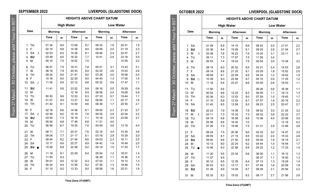|                     | OCTOBER 2022         | LIVERPOOL (GLADSTONE DOCK) |     |                   |                                  |                  |     |           |     |  |
|---------------------|----------------------|----------------------------|-----|-------------------|----------------------------------|------------------|-----|-----------|-----|--|
|                     |                      |                            |     |                   | <b>HEIGHTS ABOVE CHART DATUM</b> |                  |     |           |     |  |
| for BST             |                      |                            |     | <b>High Water</b> |                                  | <b>Low Water</b> |     |           |     |  |
|                     | Date                 | <b>Morning</b>             |     | Afternoon         |                                  | Morning          |     | Afternoon |     |  |
| 1 hour              |                      | Time                       | m   | Time              | m                                | Time             | m   | Time      | m   |  |
|                     | SA<br>1              | 01 49                      | 8.9 | 14 15             | 8.6                              | 08 42            | 2.0 | 21 01     | 2.2 |  |
|                     | SU<br>$\overline{2}$ | 02 36                      | 8.4 | 15 08             | 8.1                              | 09 25            | 2.6 | 21 54     | 2.7 |  |
|                     | M<br>3<br>D          | 03 39                      | 7.8 | 16 22             | 7.6                              | 10 25            | 3.1 | 23 11     | 3.1 |  |
|                     | 4<br>TU              | 05 11                      | 7.3 | 17 57             | 7.5                              | 11 59            | 3.4 |           |     |  |
| October, please add | 5<br>W               | 06 53                      | 7.4 | 19 24             | 7.9                              | 00 54            | 3.0 | 13 38     | 3.2 |  |
|                     | 6<br>TH              | 08 15                      | 8.0 | 20 32             | 8.5                              | 02 21            | 2.4 | 14 53     | 2.6 |  |
|                     | F<br>$\overline{7}$  | 09 14                      | 8.6 | 21 25             | 9.1                              | 03 29            | 1.8 | 15 52     | 2.0 |  |
|                     | 8<br><b>SA</b>       | 09 59                      | 9.1 | 22 09             | 9.5                              | 04 24            | 1.2 | 1642      | 1.5 |  |
|                     | SU<br>9<br>$\circ$   | 10 39                      | 9.3 | 22 49             | 9.7                              | 05 10            | 0.9 | 17 25     | 1.2 |  |
| 80                  | M<br>10              | 11 16                      | 9.4 | 23 27             | 9.8                              | 05 50            | 0.8 | 1803      | 1.1 |  |
|                     | 11<br>TU             | 11 50                      | 9.4 |                   |                                  | 06 26            | 0.8 | 18 39     | 1.1 |  |
|                     | 12<br>W              | 00 02                      | 9.6 | 12 22             | 9.3                              | 06 59            | 1.1 | 19 13     | 1.3 |  |
|                     | <b>TH</b><br>13      | 00 36                      | 9.3 | 12 53             | 9.0                              | 07 29            | 1.5 | 1945      | 1.7 |  |
|                     | F<br>14              | 01 10                      | 8.9 | 13 25             | 8.7                              | 07 57            | 1.9 | 20 16     | 2.2 |  |
| From 27 March       | 15<br>SA             | 01 45                      | 8.5 | 13 59             | 8.3                              | 08 23            | 2.5 | 2047      | 2.7 |  |
|                     | SU<br>16             | 02 23                      | 7.9 | 14 39             | 7.8                              | 08 52            | 3.0 | 21 25     | 3.2 |  |
|                     | 17<br>M<br>€         | 03 11                      | 7.3 | 15 33             | 7.3                              | 09 32            | 3.6 | 22 22     | 3.7 |  |
|                     | TU<br>18             | 04 19                      | 6.8 | 16 58             | 6.9                              | 10 36            | 4.0 | 23 58     | 3.9 |  |
|                     | 19<br>W              | 05 56                      | 6.6 | 18 34             | 7.0                              |                  |     | 12 18     | 4.2 |  |
|                     | 20<br><b>TH</b>      | 07 26                      | 7.0 | 1946              | 7.5                              | 01 31            | 3.5 | 13 48     | 3.8 |  |
|                     | F<br>21              | 08 24                      | 7.5 | 20 36             | 8.0                              | 02 33            | 3.0 | 14 47     | 3.2 |  |
|                     | 22<br><b>SA</b>      | 09 05                      | 8.1 | 21 15             | 8.5                              | 03 22            | 2.4 | 15 33     | 2.6 |  |
|                     | SU<br>23             | 09 40                      | 8.6 | 21 50             | 8.9                              | 04 04            | 1.9 | 16 15     | 2.1 |  |
|                     | M<br>24              | 10 13                      | 9.0 | 22 24             | 9.2                              | 04 44            | 1.5 | 16 54     | 1.7 |  |
|                     | TU<br>25             | 1046                       | 9.3 | 22 58             | 9.5                              | 05 22            | 1.2 | 17 33     | 1.4 |  |
|                     | W<br>26              | 11 20                      | 9.5 | 23 34             | 9.6                              | 06 00            | 1.1 | 18 12     | 1.3 |  |
|                     | 27<br>TH             | 11 57                      | 9.5 |                   |                                  | 06 37            | 1.1 | 18 50     | 1.3 |  |
|                     | F<br>28              | 00 12                      | 9.5 | 12 35             | 9.4                              | 07 13            | 1.3 | 19 29     | 1.4 |  |
|                     | <b>SA</b><br>29      | 00 53                      | 9.3 | 13 17             | 9.1                              | 07 49            | 1.6 | 20 09     | 1.8 |  |
|                     | SU<br>30             | 01 39                      | 8.9 | 14 04             | 8.7                              | 08 29            | 2.1 | 20 56     | 2.2 |  |
|                     | 31<br>M              | 02 33                      | 8.3 | 15 03             | 8.2                              | 09 17            | 2.7 | 21 56     | 2.6 |  |

# **SEPTEMBER 2022 LIVERPOOL (GLADSTONE DOCK)**

From 27 March – 30 October, please add 1 hour for BST

From 27 March - 30 October, please add 1 hour for BST

|                                       | <b>HEIGHTS ABOVE CHART DATUM</b> |                   |               |            |                  |            |               |            |  |  |
|---------------------------------------|----------------------------------|-------------------|---------------|------------|------------------|------------|---------------|------------|--|--|
|                                       |                                  | <b>High Water</b> |               |            | <b>Low Water</b> |            |               |            |  |  |
| Date                                  | Morning                          |                   | Afternoon     |            | Morning          |            | Afternoon     |            |  |  |
|                                       | Time                             | m                 | Time          | m          | Time             | m          | Time          | m          |  |  |
| <b>TH</b><br>1<br>$\overline{2}$<br>F | 01 34<br>02 10                   | 9.0<br>8.8        | 1359<br>14 38 | 8.7<br>8.4 | 08 33<br>09 06   | 1.6<br>2.0 | 2041<br>21 19 | 1.9<br>2.3 |  |  |
| SA<br>3<br>D                          | 02 53                            | 8.5               | 15 26         | 8.1        | 09 46            | 2.4        | 22 07         | 2.7        |  |  |
| SU<br>$\overline{\mathbf{4}}$         | 03 49                            | 8.0               | 16 32         | 7.7        | 1041             | 2.9        | 23 16         | 3.0        |  |  |
| 5<br>M                                | 05 10                            | 7.5               | 18 02         | 7.5        |                  |            | 12 05         | 3.2        |  |  |
| 6<br>TU                               | 06 51                            | 7.5               | 1931          | 7.8        | 00 51            | 3.1        | 1343          | 3.1        |  |  |
| $\overline{7}$<br>w                   | 08 18                            | 7.9               | 2043          | 8.4        | 02 24            | 2.6        | 15 02         | 2.6        |  |  |
| 8<br>TH                               | 09 24                            | 8.5               | 2141          | 9.0        | 03 38            | 2.0        | 16 06         | 2.0        |  |  |
| F<br>9                                | 10 16                            | 9.0               | 22 29         | 9.5        | 04 40            | 1.3        | 17 00         | 1.5        |  |  |
| <b>SA</b><br>10<br>$\circ$            | 11 00                            | 9.4               | 23 12         | 9.8        | 05 32            | 0.8        | 1747          | 1.1        |  |  |
| SU<br>11                              | 1141                             | 9.5               | 23 52         | 9.9        | 06 16            | 0.5        | 18 29         | 0.9        |  |  |
| 12<br>M                               |                                  |                   | 12 18         | 9.5        | 06 56            | 0.5        | 19 08         | 0.9        |  |  |
| 13<br>TU                              | 00 30                            | 9.8               | 12 53         | 9.3        | 07 33            | 0.7        | 1944          | 1.1        |  |  |
| 14<br>W                               | 01 07                            | 9.5               | 13 27         | 9.0        | 08 06            | 1.1        | 20 17         | 1.6        |  |  |
| 15<br><b>TH</b>                       | 01 42                            | 9.1               | 14 00         | 8.6        | 08 36            | 1.7        | 20 50         | 2.1        |  |  |
| F<br>16                               | 02 18                            | 8.6               | 14 36         | 8.1        | 09 05            | 2.3        | 21 23         | 2.7        |  |  |
| 17<br><b>SA</b><br>¢                  | 02 58                            | 8.0               | 15 19         | 7.6        | 09 35            | 2.9        | 22 04         | 3.2        |  |  |
| 18<br>SU                              | 03 50                            | 7.3               | 16 19         | 7.1        | 10 18            | 3.5        | 23 08         | 3.7        |  |  |
| 19<br>M                               | 05 04                            | 6.8               | 1749          | 6.8        | 11 31            | 4.0        |               |            |  |  |
| TU<br>20                              | 06 46                            | 6.7               | 19 25         | 7.0        | 00 49            | 3.8        | 13 16         | 4.0        |  |  |
| W<br>21                               | 08 11                            | 7.1               | 20 31         | 7.6        | 02 16            | 3.4        | 14 35         | 3.6        |  |  |
| 22<br><b>TH</b>                       | 09 04                            | 7.7               | 21 17         | 8.1        | 03 16            | 2.9        | 15 28         | 3.0        |  |  |
| 23<br>F                               | 09 44                            | 8.2               | 21 54         | 8.6        | 04 03            | 2.3        | 16 11         | 2.5        |  |  |
| <b>SA</b><br>24                       | 10 17                            | 8.6               | 22 27         | 8.9        | 04 42            | 1.9        | 16 49         | 2.0        |  |  |
| 25<br>SU                              | 1048                             | 8.9               | 22 58         | 9.2        | 05 19            | 1.5        | 17 25         | 1.7        |  |  |
| M<br>26                               | 11 18                            | 9.1               | 23 29         | 9.4        | 05 54            | 1.2        | 18 01         | 1.4        |  |  |
| 27<br>TU                              | 11 50                            | 9.3               |               |            | 06 29            | 1.1        | 18 36         | 1.3        |  |  |
| 28<br>w                               | 00 01                            | 9.5               | 12 22         | 9.3        | 07 03            | 1.1        | 19 12         | 1.3        |  |  |
| 29<br><b>TH</b>                       | 00 34                            | 9.4               | 12 56         | 9.2        | 07 36            | 1.3        | 1946          | 1.5        |  |  |
| 30<br>F                               | 01 10                            | 9.2               | 13 33         | 9.0        | 08 08            | 1.6        | 20 21         | 1.8        |  |  |
|                                       |                                  |                   |               |            |                  |            |               |            |  |  |

**Time Zone UT(GMT)**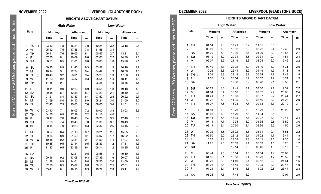**Date**

## **NOVEMBER 2022 LIVERPOOL (GLADSTONE DOCK)**

**HEIGHTS ABOVE CHART DATUM High Water Low Water Morning Afternoon Morning Afternoon Time m Time m Time m Time m** 1 TU ☽ 03 43 7.8 16 21 7.9 10 24 3.2 23 18 2.8

2 W 05 12 7.5 17 46 7.8 11 55 3.4

17 TH 04 55 6.9 17 29 7.2 11 16 4.0

18 F | 06 17 | 7.0 | 18 43 | 7.4 | 00 26 | 3.5 | 12 40 | 3.8 19 SA  $\begin{array}{|c|c|c|c|c|c|c|c|} \hline \end{array}$  01 35  $\begin{array}{|c|c|c|c|c|c|} \hline \end{array}$  3.3  $\begin{array}{|c|c|c|c|c|} \hline \end{array}$  3.3  $\begin{array}{|c|c|c|c|c|} \hline \end{array}$  3.3  $\begin{array}{|c|c|c|c|c|} \hline \end{array}$  3.3  $\begin{array}{|c|c|c|c|c|} \hline \end{array}$  3.3  $\begin{array}{|c|c|c|c$ 20 **SU** | 08 14 | 7.9 | 20 28 | 8.3 | 02 32 | 2.6 | 14 45 | 2.8 21 M 08 57 8.4 21 10 8.7 03 21 2.1 15 35 2.3 22 TU | 0936 | 8.9 | 21.50 | 9.1 | 04.07 | 1.7 | 16.22 | 1.9 23 W ● | 10 15 | 9.2 | 22 31 | 9.4 | 04 50 | 1.4 | 17 07 | 1.6 24 TH | 10 55 | 9.5 | 23 14 | 9.5 | 05 33 | 1.2 | 17 51 | 1.3 25 F | 11 37 | 9.5 | 23 59 | 9.4 | 06 14 | 1.2 | 18 35 | 1.3 26 SA 12 21 9.5 06 56 1.4 19 19 1.3 27 **SU** 00 46 9.2 13 08 9.3 07 39 1.6 20 07 1.6 28 M | 01 38 | 8.9 | 14 01 | 9.0 | 08 25 | 2.0 | 21 00 | 1.9 29 TU | 02 36 | 8.5 | 15 02 | 8.6 | 09 18 | 2.5 | 22 01 | 2.2 30 W ☽ 03 41 8.1 16 10 8.3 10 22 2.8 23 11 2.4

3 TH 06 41 7.6 19 05 8.1 00 47 2.7 13 21 3.1 4 F 07 55 8.1 20 09 8.6 02 03 2.2 14 30 2.6 5 SA 08 51 8.5 21 01 9.0 03 05 1.8 15 28 2.16 **SU** 09 35 8.9 21 45 9.3 03 58 1.5 16 16 1.7 7 M | 10 14 | 9.1 | 22 24 | 9.4 | 04 42 | 1.3 | 16 58 | 1.5 8 TU ⊙ | 10 49 | 9.2 | 23 01 | 9.4 | 05 20 | 1.3 | 17 36 | 1.4 9 W | 11 23 | 9.2 | 23 37 | 9.3 | 05 54 | 1.4 | 18 11 | 1.5 10 TH | 11 55 | 9.1 | | | | | | | | | | | 1.5 | 1.6 | | 1.6 | | 1.6 11 F | 00 11 | 9.0 | 12 26 | 8.9 | 06 55 | 1.8 | 19 18 | 1.9 12 SA  $\begin{array}{|c|c|c|c|c|c|c|c|} \hline \end{array}$  00 45 | 8.7 | 12 58 | 8.7 | 07 23 | 2.1 | 19 49 | 2.3 13 **SU** | 01 21 | 8.4 | 13 33 | 8.4 | 07 52 | 2.5 | 20 22 | 2.7 14 M | 01 59 | 8.0 | 14 12 | 8.0 | 08 24 | 3.0 | 21 00 | 3.0 15 TU | 02 43 | 7.5 | 15 00 | 7.6 | 09 05 | 3.4 | 21 51 | 3.4 16 W C 0340 7.1 1607 7.2 1000 3.8 2303 3.6

| Date |
|------|
|      |

**DECEMBER 2022** 

|                                                                                    |                                                                                                                                                                                                                                                                                                                                                                                       | <b>HEIGHTS ABOVE CHART DATUM</b>                                                                                                                                                                                    |                                                                                                                                                                      |                                                                                                                                                                                                                                       |                                                                                                                                                                                    |                                                                                                                                                                                                                                        |                                                                                                                                                                                    |                                                                                                                                                                                                             |                                                                                                                                                                      |  |  |  |
|------------------------------------------------------------------------------------|---------------------------------------------------------------------------------------------------------------------------------------------------------------------------------------------------------------------------------------------------------------------------------------------------------------------------------------------------------------------------------------|---------------------------------------------------------------------------------------------------------------------------------------------------------------------------------------------------------------------|----------------------------------------------------------------------------------------------------------------------------------------------------------------------|---------------------------------------------------------------------------------------------------------------------------------------------------------------------------------------------------------------------------------------|------------------------------------------------------------------------------------------------------------------------------------------------------------------------------------|----------------------------------------------------------------------------------------------------------------------------------------------------------------------------------------------------------------------------------------|------------------------------------------------------------------------------------------------------------------------------------------------------------------------------------|-------------------------------------------------------------------------------------------------------------------------------------------------------------------------------------------------------------|----------------------------------------------------------------------------------------------------------------------------------------------------------------------|--|--|--|
|                                                                                    |                                                                                                                                                                                                                                                                                                                                                                                       |                                                                                                                                                                                                                     |                                                                                                                                                                      | <b>High Water</b>                                                                                                                                                                                                                     |                                                                                                                                                                                    |                                                                                                                                                                                                                                        |                                                                                                                                                                                    | <b>Low Water</b>                                                                                                                                                                                            |                                                                                                                                                                      |  |  |  |
|                                                                                    | Date                                                                                                                                                                                                                                                                                                                                                                                  | Mornina                                                                                                                                                                                                             |                                                                                                                                                                      | Afternoon                                                                                                                                                                                                                             |                                                                                                                                                                                    | <b>Mornina</b>                                                                                                                                                                                                                         |                                                                                                                                                                                    | Afternoon                                                                                                                                                                                                   |                                                                                                                                                                      |  |  |  |
|                                                                                    |                                                                                                                                                                                                                                                                                                                                                                                       | Time                                                                                                                                                                                                                | m                                                                                                                                                                    | Time                                                                                                                                                                                                                                  | m                                                                                                                                                                                  | Time                                                                                                                                                                                                                                   | m                                                                                                                                                                                  | Time                                                                                                                                                                                                        | m                                                                                                                                                                    |  |  |  |
| add 1 hour for BST<br>October, please<br>$\frac{1}{20}$<br>п<br>27 March<br>From 3 | <b>TH</b><br>1<br>F<br>$\overline{2}$<br>3<br><b>SA</b><br>SU<br>4<br>5<br>M<br>6<br>TU<br>$\overline{7}$<br>w<br>8<br>TH $\circ$<br>F<br>9<br><b>SA</b><br>10<br>SU<br>11<br>12<br>M<br>13<br>TU<br>14<br>W<br><b>TH</b><br>15<br>F<br>16<br>C<br><b>SA</b><br>17<br>SU<br>18<br>M<br>19<br>TU<br>20<br>21 W<br>22<br><b>TH</b><br>F<br>23<br><b>SA</b><br>24<br>SU<br>25<br>M<br>26 | 04 54<br>06 09<br>07 20<br>08 19<br>09 07<br>09 49<br>10 26<br>11 01<br>11 35<br>00 29<br>01 04<br>01 41<br>02 22<br>03 07<br>04 01<br>05 03<br>06 11<br>07 14<br>08 11<br>09 02<br>09 50<br>10 37<br>11 25<br>0044 | 7.8<br>7.8<br>7.9<br>8.2<br>8.5<br>8.7<br>8.8<br>8.9<br>8.9<br>8.6<br>8.4<br>8.1<br>7.9<br>7.6<br>7.3<br>7.3<br>7.4<br>7.7<br>8.1<br>8.6<br>9.0<br>9.3<br>9.5<br>9.3 | 17 21<br>18 32<br>19 36<br>20 31<br>21 19<br>22 02<br>22 41<br>23 18<br>23 54<br>12 08<br>1241<br>13 16<br>13 53<br>14 35<br>15 24<br>16 23<br>17 29<br>18 35<br>19 35<br>20 30<br>21 22<br>22 12<br>23 02<br>23 53<br>12 14<br>13 04 | 8.2<br>8.3<br>8.4<br>8.6<br>8.8<br>8.9<br>8.9<br>8.9<br>8.7<br>8.9<br>8.7<br>8.5<br>8.3<br>8.0<br>7.7<br>7.6<br>7.5<br>7.7<br>8.0<br>8.4<br>8.8<br>9.1<br>9.3<br>9.4<br>9.6<br>9.6 | 11 35<br>00 22<br>01 29<br>02 31<br>03 25<br>04 10<br>04 49<br>05 24<br>05 57<br>06 28<br>07 00<br>07 32<br>08 07<br>08 46<br>09 33<br>10 29<br>11 34<br>00 27<br>01 35<br>02 36<br>03 31<br>04 22<br>05 11<br>05 59<br>06 46<br>07 34 | 3.0<br>2.4<br>2.3<br>2.1<br>2.0<br>1.9<br>1.9<br>1.9<br>1.9<br>2.1<br>2.2<br>2.4<br>2.7<br>3.0<br>3.3<br>3.5<br>3.5<br>3.1<br>2.8<br>2.5<br>2.1<br>1.7<br>1.5<br>1.3<br>1.3<br>1.4 | 1248<br>1355<br>14 54<br>1546<br>16 31<br>17 11<br>1749<br>18 24<br>1858<br>19 32<br>20 06<br>2044<br>21 28<br>22 19<br>23 20<br>1244<br>1352<br>14 55<br>1551<br>16 44<br>17 35<br>18 26<br>19 17<br>20 08 | 2.9<br>2.7<br>2.4<br>2.2<br>2.0<br>1.9<br>1.9<br>1.9<br>2.1<br>2.2<br>2.4<br>2.7<br>2.9<br>3.1<br>3.2<br>3.4<br>3.0<br>2.6<br>2.2<br>1.8<br>1.4<br>1.2<br>1.1<br>1.1 |  |  |  |
|                                                                                    | TU<br>27<br>W<br>28<br><b>TH</b><br>29<br>F<br>30                                                                                                                                                                                                                                                                                                                                     | 01 35<br>02 28<br>03 23<br>04 21                                                                                                                                                                                    | 9.1<br>8.8<br>8.4<br>8.1                                                                                                                                             | 13 56<br>14 49<br>15 45<br>16 44                                                                                                                                                                                                      | 9.4<br>9.1<br>8.8<br>8.5                                                                                                                                                           | 08 23<br>09 12<br>10 05<br>11 02                                                                                                                                                                                                       | 1.7<br>2.0<br>2.3<br>2.6                                                                                                                                                           | 20 59<br>2151<br>22 46<br>23 44                                                                                                                                                                             | 1.3<br>1.6<br>1.9<br>2.3                                                                                                                                             |  |  |  |
|                                                                                    | 31<br><b>SA</b>                                                                                                                                                                                                                                                                                                                                                                       | 05 23                                                                                                                                                                                                               | 7.8                                                                                                                                                                  | 1748                                                                                                                                                                                                                                  | 8.2                                                                                                                                                                                |                                                                                                                                                                                                                                        |                                                                                                                                                                                    | 12 04                                                                                                                                                                                                       | 2.9                                                                                                                                                                  |  |  |  |

 $BST$ From 27 March – 30 October, please add 1 hour for BST  $\overline{5}$ October, please add 1 hour  $\overline{30}$ From 27 March -

**Time Zone UT(GMT)**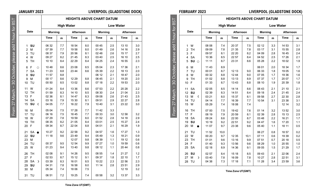$-55$ 

30 October, please add 1 hour for

From 27 March

## **JANUARY 2023 LIVERPOOL (GLADSTONE DOCK)**

| <b>HEIGHTS ABOVE CHART DATUM</b> |
|----------------------------------|
|----------------------------------|

| BST<br>B                 |                                         | Date                       |
|--------------------------|-----------------------------------------|----------------------------|
|                          |                                         |                            |
| acd                      | 1<br>$\overline{\mathbf{c}}$<br>3       | SU<br>М<br>TU              |
| please                   | $\overline{4}$<br>5                     | w<br><b>TH</b>             |
| "tober<br>$\frac{1}{20}$ | $\overline{7}$<br>8<br>9<br>10          | 6 F<br>SA<br>SU<br>м<br>TU |
| ٦<br>š                   | 11<br>12 <sup>2</sup><br>13<br>14<br>15 | W<br>TН<br>F.<br>SA<br>SU  |
|                          | 16<br>17<br>18                          | М<br>TU<br>W               |

|                     |           |         |                | <b>High Water</b> |                | <b>Low Water</b> |                |            |                |            |
|---------------------|-----------|---------|----------------|-------------------|----------------|------------------|----------------|------------|----------------|------------|
| Date                |           | Morning |                |                   | Afternoon      |                  | <b>Morning</b> |            | Afternoon      |            |
|                     |           |         | Time           | m                 | Time           | m                | Time           | m          | Time           | m          |
| 1                   | SU        |         | 06 32          | 7.7               | 18 54          | 8.0              | 0045           | 2.5        | 13 10          | 3.0        |
| $\overline{2}$<br>3 | M<br>TU   |         | 07 39          | 7.7               | 1958           | 8.0              | 01 49          | 2.6        | 14 16          | 2.9<br>2.7 |
| 4                   | W         |         | 08.37<br>09 27 | 7.9<br>8.2        | 20 56<br>21 45 | 8.1<br>8.3       | 02 48<br>03 40 | 2.6<br>2.5 | 15 17<br>16 10 | 2.5        |
| 5                   | TH        |         | 10 10          | 8.4               | 22 29          | 8.4              | 04 25          | 2.4        | 16 55          | 2.3        |
| 6                   | F         | $\circ$ | 1048           | 8.6               | 23 08          | 8.5              | 05 04          | 2.3        | 17 36          | 2.1        |
| $\overline{7}$      | SA        |         | 11 23          | 8.8               | 23 44          | 8.6              | 05 39          | 2.2        | 18 13          | 2.0        |
| 8                   | SU        |         | 11 57          | 8.8               |                |                  | 06 12          | 2.1        | 1847           | 2.0        |
| 9                   | M         |         | 00 17          | 8.6               | 12 29          | 8.8              | 06 45          | 2.1        | 19 20          | 2.0        |
| 10                  | TU        |         | 00 50          | 8.5               | 1302           | 8.8              | 07 18          | 2.2        | 19 53          | 2.0        |
| 11                  | W         |         | 01 24          | 8.4               | 13 36          | 8.6              | 07 53          | 2.2        | 20 28          | 2.2        |
| 12                  | TH        |         | 01 59          | 8.3               | 14 10          | 8.5              | 08 30          | 2.4        | 21 04          | 2.3        |
| 13                  | F         |         | 02 36          | 8.1               | 14 47          | 8.3              | 09 08          | 2.6        | 21 43          | 2.5        |
| 14                  | <b>SA</b> |         | 03 16          | 7.9               | 15 30          | 8.1              | 09 51          | 2.9        | 22 27          | 2.8        |
| 15                  | SU        | €       | 04 05          | 7.7               | 16 22          | 7.9              | 1040           | 3.1        | 23 22          | 3.0        |
| 16                  | M         |         | 05 04          | 7.5               | 17 28          | 7.7              | 1142           | 3.3        |                |            |
| 17                  | TU        |         | 06 16          | 7.5               | 1845           | 7.7              | 00 33          | 3.0        | 12 58          | 3.2        |
| 18                  | W         |         | 07 29          | 7.8               | 1959           | 8.0              | 01 52          | 2.8        | 14 18          | 2.9        |
| 19                  | TH        |         | 08 35          | 8.2               | 21 05          | 8.4              | 03 01          | 2.5        | 15 27          | 2.4        |
| 20                  | F         |         | 09 34          | 8.7               | 22 04          | 8.8              | 04 01          | 2.1        | 16 29          | 1.9        |
| 21                  | <b>SA</b> |         | 10 27          | 9.2               | 22 58          | 9.2              | 04 57          | 1.6        | 17 27          | 1.3        |
| 22                  | SU        |         | 11 18          | 9.6               | 23 49          | 9.4              | 05 49          | 1.3        | 18 21          | 0.9        |
| 23                  | M         |         |                |                   | 1207           | 9.8              | 06 39          | 1.1        | 19 12          | 0.6        |
| 24                  | TU        |         | 00 37          | 9.5               | 12 54          | 9.9              | 07 27          | 1.0        | 19 59          | 0.6        |
| 25                  | W         |         | 01 23          | 9.4               | 1340           | 9.8              | 08 12          | 1.1        | 20 44          | 0.8        |
| 26                  | TH        |         | 02 08          | 9.1               | 14 26          | 9.5              | 08 55          | 1.4        | 21 27          | 1.2        |
| 27                  | F         |         | 02 53          | 8.7               | 15 12          | 9.1              | 09 37          | 1.8        | 22 10          | 1.7        |
| 28                  | <b>SA</b> | Þ       | 03 39          | 8.3               | 16 01          | 8.5              | 10 22          | 2.3        | 22 56          | 2.3        |
| 29                  | SU        |         | 04 31          | 7.8               | 16 58          | 8.0              | 11 14          | 2.8        | 23 51          | 2.9        |
| 30                  | M         |         | 05 34          | 7.4               | 18 06          | 7.5              |                |            | 12 19          | 3.2        |
| 31                  | TU        |         | 06 51          | 7.2               | 19 25          | 7.4              | 00 58          | 3.2        | 13 37          | 3.3        |

|                                    | <b>FEBRUARY 2023</b>                  |                |             |                                  | <b>LIVERPOOL (GLADSTONE DOCK)</b> |                |            |                |            |  |
|------------------------------------|---------------------------------------|----------------|-------------|----------------------------------|-----------------------------------|----------------|------------|----------------|------------|--|
|                                    |                                       |                |             | <b>HEIGHTS ABOVE CHART DATUM</b> |                                   |                |            |                |            |  |
|                                    |                                       |                |             | <b>High Water</b>                | <b>Low Water</b>                  |                |            |                |            |  |
|                                    | Date                                  | <b>Morning</b> |             | Afternoon                        |                                   | <b>Morning</b> |            | Afternoon      |            |  |
|                                    |                                       | Time           | m           | <b>Time</b>                      | m                                 | Time           | m          | <b>Time</b>    | m          |  |
| October, please add 1 hour for BST | W<br>1<br><b>TH</b><br>$\overline{c}$ | 08 08<br>09 09 | 7.4<br>7.8  | 20 37<br>21 35                   | 7.5<br>7.8                        | 02 12<br>03 17 | 3.3<br>3.1 | 14 53<br>15 55 | 3.1<br>2.8 |  |
|                                    | F<br>3<br><b>SA</b><br>4              | 09 57<br>10 36 | 8.1<br>8.5  | 22 20<br>22 57                   | 8.2<br>8.4                        | 04 09<br>04 52 | 2.8<br>2.5 | 1645<br>17 26  | 2.4<br>2.1 |  |
|                                    | SU<br>5<br>$\Omega$                   | 11 11          | 8.7         | 23 31                            | 8.6                               | 05 28          | 2.2        | 18 02          | 1.9        |  |
|                                    | M<br>6<br>$\overline{7}$<br>TU        | 11 43<br>00 01 | 8.9<br>8.7  | 12 13                            | 9.0                               | 06 01<br>06 33 | 2.0<br>1.8 | 18 34<br>1905  | 1.7<br>1.6 |  |
|                                    | W<br>8<br><b>TH</b><br>9              | 00 32<br>01 02 | 8.8<br>8.8  | 12 44<br>13 13                   | 9.0<br>8.9                        | 07 05<br>07 37 | 1.7<br>1.7 | 19 36<br>20 07 | 1.6<br>1.7 |  |
| 30<br>п                            | F<br>10                               | 01 33          | 8.7         | 13 43                            | 8.8                               | 08 10          | 1.9        | 20 39          | 1.8        |  |
|                                    | 11<br><b>SA</b><br>SU<br>12           | 02 05<br>02 39 | 8.5<br>8.3  | 14 14<br>14 51                   | 8.6<br>8.4                        | 08 43<br>09 18 | 2.1<br>2.4 | 21 10<br>2145  | 2.1<br>2.4 |  |
| From 27 March                      | 13<br>M<br>€<br>TU<br>14              | 03 21<br>04 14 | 8.0<br>7.7  | 15 37<br>16 39                   | 8.1<br>7.7                        | 09 58<br>10 54 | 2.7<br>3.1 | 22 30<br>23 38 | 2.8<br>3.1 |  |
|                                    | W<br>15                               | 05 29          | 7.4         | 18 08                            | 7.4                               |                |            | 12 14          | 3.2        |  |
|                                    | <b>TH</b><br>16<br>F<br>17            | 07 00<br>08 19 | 7.5<br>7.9  | 1942<br>20 59                    | 7.6<br>8.1                        | 01 14<br>02 39 | 3.2<br>2.8 | 1352<br>15 13  | 3.0<br>2.5 |  |
|                                    | <b>SA</b><br>18<br>SU<br>19           | 09 24<br>10 19 | 8.6<br>9.2  | 22 00<br>22 51                   | 8.7<br>9.2                        | 03 48<br>04 47 | 2.2<br>1.6 | 16 21<br>17 20 | 1.7<br>1.1 |  |
|                                    | M<br>20                               | 11 07          | 9.7         | 23 38                            | 9.6                               | 05 40          | 1.1        | 18 11          | 0.5        |  |
|                                    | TU<br>21<br>W<br>22                   | 11 52<br>00 20 | 10.0<br>9.7 | 12 35                            | 10.1                              | 06 27<br>07 11 | 0.8<br>0.6 | 1857<br>19 39  | 0.2<br>0.2 |  |
|                                    | <b>TH</b><br>23<br>F<br>24            | 01 01<br>01 40 | 9.6<br>9.3  | 13 16<br>13 56                   | 9.9<br>9.6                        | 07 51<br>08 29 | 0.7<br>1.0 | 20 18<br>20 55 | 0.5<br>1.0 |  |
|                                    | <b>SA</b><br>25                       | 02 18          | 8.9         | 14 36                            | 9.1                               | 09 05          | 1.5        | 21 29          | 1.7        |  |
|                                    | SU<br>26<br>27<br>М<br>Þ              | 02 57<br>03 40 | 8.4<br>7.8  | 15 18<br>16 09                   | 8.5<br>7.8                        | 09 43<br>10 27 | 2.1<br>2.8 | 22 06<br>22 51 | 2.4<br>3.1 |  |
|                                    | 28<br>TU                              | 04 38          | 7.3         | 17 18                            | 7.1                               | 11 28          | 3.4        | 23 59          | 3.6        |  |

**Time Zone UT(GMT)**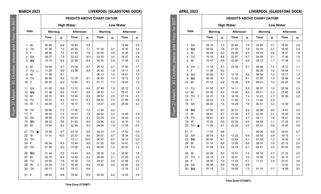|                     | <b>APRIL 2023</b>    |                |                                  |                   |              |                  |     | LIVERPOOL (GLADSTONE DOCK) |     |  |  |
|---------------------|----------------------|----------------|----------------------------------|-------------------|--------------|------------------|-----|----------------------------|-----|--|--|
|                     |                      |                | <b>HEIGHTS ABOVE CHART DATUM</b> |                   |              |                  |     |                            |     |  |  |
| for $BS$            |                      |                |                                  | <b>High Water</b> |              | <b>Low Water</b> |     |                            |     |  |  |
|                     | Date                 | <b>Morning</b> |                                  | Afternoon         |              | <b>Mornina</b>   |     | Afternoon                  |     |  |  |
| 1 hour              |                      | Time           | m                                | Time              | $\mathsf{m}$ | <b>Time</b>      | m   | Time                       | m   |  |  |
| October, please add | <b>SA</b><br>1       | 08 10          | 7.2                              | 20 49             | 7.4          | 02 20            | 3.7 | 15 02                      | 2.9 |  |  |
|                     | SU<br>$\overline{2}$ | 09 02          | 7.8                              | 21 32             | 7.9          | 03 19            | 3.1 | 15 52                      | 2.4 |  |  |
|                     | 3<br>M               | 09 42          | 8.2                              | 22 06             | 8.3          | 04 03            | 2.6 | 16 31                      | 1.9 |  |  |
|                     | 4<br>TU              | 10 16          | 8.6                              | 22 37             | 8.7          | 04 39            | 2.1 | 1706                       | 1.6 |  |  |
|                     | W<br>5               | 1047           | 8.9                              | 23 06             | 8.9          | 05 13            | 1.7 | 17 39                      | 1.3 |  |  |
|                     | 6<br>TH<br>$\circ$   | 11 18          | 9.1                              | 23 36             | 9.1          | 05 46            | 1.4 | 18 12                      | 1.1 |  |  |
|                     | $\overline{7}$<br>F  | 11 48          | 9.2                              |                   |              | 06 20            | 1.2 | 1844                       | 1.1 |  |  |
|                     | <b>SA</b><br>8       | 00 06          | 9.1                              | 12 19             | 9.2          | 06 54            | 1.2 | 19 17                      | 1.2 |  |  |
|                     | SU<br>9              | 00 38          | 9.1                              | 12 52             | 9.1          | 07 28            | 1.3 | 1948                       | 1.4 |  |  |
| 80                  | M<br>10              | 01 12          | 8.9                              | 13 28             | 8.8          | 08 01            | 1.5 | 20 20                      | 1.8 |  |  |
|                     |                      |                |                                  |                   |              |                  |     |                            |     |  |  |
|                     | TU<br>11             | 01 50          | 8.7                              | 14 11             | 8.5          | 08 37            | 1.9 | 20 56                      | 2.3 |  |  |
|                     | 12<br>W              | 02 36          | 8.3                              | 15 04             | 8.0          | 09 21            | 2.3 | 21 45                      | 2.8 |  |  |
|                     | 13<br><b>TH</b><br>€ | 03 37          | 7.8                              | 16 19             | 7.4          | 10 23            | 2.7 | 22 59                      | 3.2 |  |  |
|                     | F<br>14              | 05 03          | 7.5                              | 17 56             | 7.3          | 11 54            | 2.9 |                            |     |  |  |
|                     | 15<br><b>SA</b>      | 06 34          | 7.6                              | 19 28             | 7.6          | 00 41            | 3.2 | 13 30                      | 2.6 |  |  |
| From 27 March       | <b>SU</b><br>16      | 07 50          | 8.1                              | 20 37             | 8.2          | 02 08            | 2.8 | 14 47                      | 2.0 |  |  |
|                     | M<br>17              | 08 51          | 8.7                              | 21 29             | 8.7          | 03 16            | 2.1 | 15 50                      | 1.4 |  |  |
|                     | 18<br>TU             | 09 41          | 9.2                              | 22 13             | 9.1          | 04 11            | 1.6 | 1641                       | 0.9 |  |  |
|                     | W<br>19              | 10 25          | 9.5                              | 22 53             | 9.3          | 04 59            | 1.1 | 17 25                      | 0.7 |  |  |
|                     | 20<br><b>TH</b>      | 11 05          | 9.7                              | 23 30             | 9.4          | 05 41            | 0.8 | 18 05                      | 0.6 |  |  |
|                     | F<br>21              | 11 45          | 9.6                              |                   |              | 06 20            | 0.8 | 1841                       | 0.7 |  |  |
|                     | <b>SA</b><br>22      | 00 05          | 9.3                              | 12 22             | 9.4          | 06 58            | 0.9 | 19 15                      | 1.1 |  |  |
|                     | SU<br>23             | 00 40          | 9.1                              | 12 59             | 9.1          | 07 33            | 1.2 | 1946                       | 1.5 |  |  |
|                     | M<br>24              | 01 14          | 8.8                              | 13 35             | 8.6          | 08 07            | 1.6 | 20 15                      | 2.0 |  |  |
|                     | TU<br>25             | 01 49          | 8.4                              | 14 15             | 8.1          | 08 41            | 2.2 | 2045                       | 2.6 |  |  |
|                     |                      |                |                                  |                   |              |                  |     |                            |     |  |  |
|                     | W<br>26              | 02 29          | 8.0                              | 15 01             | 7.5          | 09 18            | 2.7 | 21 22                      | 3.2 |  |  |
|                     | 27<br><b>TH</b><br>D | 03 19          | 7.4                              | 16 01             | 7.0          | 10 08            | 3.2 | 22 15                      | 3.7 |  |  |
|                     | F<br>28              | 04 30          | 7.0                              | 17 23             | 6.7          | 11 27            | 3.5 | 2341                       | 3.9 |  |  |
|                     | <b>SA</b><br>29      | 05 58          | 6.9                              | 18 51             | 6.8          |                  |     | 13 00                      | 3.4 |  |  |
|                     | SU<br>30             | 07 15          | 7.2                              | 1958              | 7.2          | 01 18            | 3.7 | 14 09                      | 3.0 |  |  |
|                     |                      |                |                                  |                   |              |                  |     |                            |     |  |  |

**Time Zone UT(GMT)**

**MARCH 2023 LIVERPOOL (GLADSTONE DOCK)**

┑

From 27 March – 30 October, please add 1 hour for BST

From 27 March - 30 October, please add 1 hour for BST

|      |                                      | <b>HEIGHTS ABOVE CHART DATUM</b> |      |                   |      |         |     |                  |     |
|------|--------------------------------------|----------------------------------|------|-------------------|------|---------|-----|------------------|-----|
|      |                                      |                                  |      | <b>High Water</b> |      |         |     | <b>Low Water</b> |     |
| Date |                                      | Morning                          |      | Afternoon         |      | Morning |     | Afternoon        |     |
|      |                                      | Time                             | m    | Time              | m    | Time    | m   | Time             | m   |
|      | W<br>1                               | 05 59                            | 6.9  | 18 50             | 6.9  |         |     | 12 58            | 3.6 |
|      | $\overline{2}$<br><b>TH</b>          | 07 36                            | 7.0  | 20 20             | 7.1  | 01 34   | 3.7 | 14 30            | 3.4 |
|      | F<br>3                               | 08 48                            | 7.4  | 21 20             | 7.6  | 02 55   | 3.4 | 15 38            | 2.9 |
|      | <b>SA</b><br>$\overline{\mathbf{4}}$ | 09 37                            | 7.9  | 22 03             | 8.0  | 03 53   | 3.0 | 16 27            | 2.4 |
|      | 5<br>SU                              | 10 15                            | 8.4  | 22 38             | 8.4  | 04 35   | 2.5 | 17 06            | 2.0 |
|      | 6<br>M                               | 1049                             | 8.7  | 23 09             | 8.7  | 05 10   | 2.1 | 1740             | 1.7 |
|      | $\overline{7}$<br>TU<br>$\bigcap$    | 11 20                            | 8.9  | 23 38             | 8.9  | 0542    | 1.8 | 18 11            | 1.4 |
|      | W<br>8                               | 11 49                            | 9.1  |                   |      | 06 13   | 1.6 | 1841             | 1.3 |
|      | 9<br><b>TH</b>                       | 00 06                            | 9.0  | 12 18             | 9.1  | 06 45   | 1.4 | 19 12            | 1.2 |
|      | F<br>10                              | 00 35                            | 9.0  | 12 46             | 9.1  | 07 17   | 1.3 | 1943             | 1.3 |
|      | <b>SA</b><br>11                      | 01 05                            | 8.9  | 13 15             | 9.0  | 0749    | 1.5 | 20 12            | 1.5 |
|      | SU<br>12                             | 01 36                            | 8.8  | 13 47             | 8.8  | 08 20   | 1.7 | 2041             | 1.9 |
|      | 13<br>M                              | 02 10                            | 8.5  | 14 24             | 8.5  | 08 52   | 2.0 | 21 14            | 2.3 |
|      | 14<br>TU                             | 02 51                            | 8.2  | 15 11             | 8.1  | 09 32   | 2.5 | 21 58            | 2.8 |
|      | 15<br>w<br>¢                         | 03 45                            | 7.7  | 16 17             | 7.5  | 10 27   | 2.9 | 23 06            | 3.2 |
|      | <b>TH</b><br>16                      | 05 06                            | 7.3  | 17 56             | 7.2  | 11 54   | 3.2 |                  |     |
|      | F<br>17                              | 06 45                            | 7.4  | 19 37             | 7.5  | 00 52   | 3.3 | 13 40            | 2.9 |
|      | <b>SA</b><br>18                      | 08 08                            | 7.9  | 20 53             | 8.1  | 02 25   | 2.9 | 15 03            | 2.3 |
|      | SU<br>19                             | 09 12                            | 8.6  | 21 50             | 8.8  | 03 36   | 2.2 | 16 10            | 1.5 |
|      | 20<br>M                              | 10 04                            | 9.2  | 22 36             | 9.3  | 04 34   | 1.6 | 17 05            | 0.9 |
|      | 21<br>TU                             | 1049                             | 9.7  | 23 18             | 9.6  | 05 23   | 1.0 | 17 52            | 0.4 |
|      | W<br>22                              | 11 31                            | 10.0 | 23 57             | 9.6  | 06 07   | 0.7 | 18 34            | 0.2 |
|      | 23<br><b>TH</b>                      |                                  |      | 12 11             | 10.0 | 06 47   | 0.5 | 19 12            | 0.3 |
|      | 24<br>F                              | 00 34                            | 9.5  | 12 49             | 9.8  | 07 25   | 0.6 | 1947             | 0.7 |
|      | <b>SA</b><br>25                      | 01 09                            | 9.3  | 13 26             | 9.4  | 08 00   | 1.0 | 20 20            | 1.2 |
|      | SU<br>26                             | 01 44                            | 8.9  | 14 03             | 8.9  | 08 35   | 1.5 | 20 50            | 1.8 |
|      | M<br>27                              | 02 19                            | 8.4  | 14 42             | 8.3  | 09 09   | 2.1 | 21 20            | 2.5 |
|      | 28<br>TU                             | 03 00                            | 7.9  | 15 30             | 7.6  | 09 47   | 2.8 | 21 58            | 3.2 |
|      | 29<br>W<br>D                         | 03 53                            | 7.3  | 16 36             | 6.9  | 1042    | 3.4 | 22 59            | 3.8 |
|      | 30<br>TH                             | 05 13                            | 6.8  | 18 12             | 6.6  |         |     | 12 16            | 3.7 |
|      | 31<br>F                              | 06 52                            | 6.8  | 1948              | 6.9  | 00 45   | 4.0 | 13 55            | 3.5 |
|      |                                      |                                  |      |                   |      |         |     |                  |     |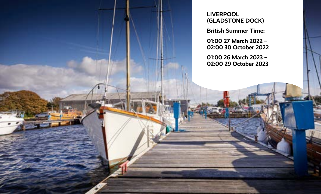**LIVERPOOL (GLADSTONE DOCK)** 

**British Summer Time:** 

**01:00 27 March 2022 – 02:00 30 October 2022** 

**01:00 26 March 2023 – 02:00 29 October 2023**